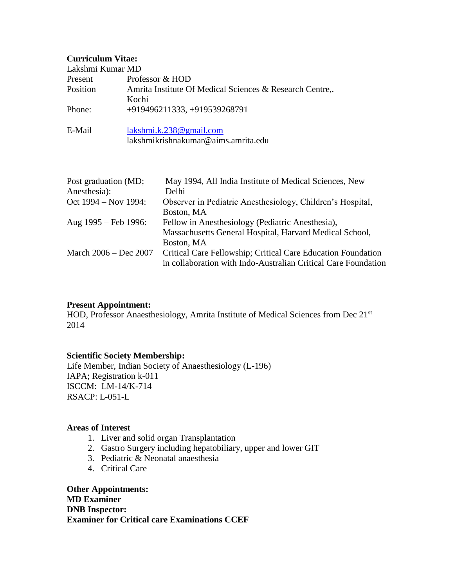## **Curriculum Vitae:**

| $\mathbf{u}$                         |                                                          |                                                                                                                                              |
|--------------------------------------|----------------------------------------------------------|----------------------------------------------------------------------------------------------------------------------------------------------|
| Lakshmi Kumar MD                     |                                                          |                                                                                                                                              |
| Present                              | Professor & HOD                                          |                                                                                                                                              |
| Position                             | Amrita Institute Of Medical Sciences & Research Centre,. |                                                                                                                                              |
|                                      | Kochi                                                    |                                                                                                                                              |
| Phone:                               | +919496211333, +919539268791                             |                                                                                                                                              |
| E-Mail                               | lakshmi.k.238@gmail.com                                  |                                                                                                                                              |
|                                      | lakshmikrishnakumar@aims.amrita.edu                      |                                                                                                                                              |
| Post graduation (MD;<br>Anesthesia): |                                                          | May 1994, All India Institute of Medical Sciences, New<br>Delhi                                                                              |
| Oct 1994 – Nov 1994:                 |                                                          | Observer in Pediatric Anesthesiology, Children's Hospital,<br>Boston, MA                                                                     |
| Aug 1995 - Feb 1996:                 |                                                          | Fellow in Anesthesiology (Pediatric Anesthesia),<br>Massachusetts General Hospital, Harvard Medical School,                                  |
| March 2006 – Dec 2007                |                                                          | Boston, MA<br>Critical Care Fellowship; Critical Care Education Foundation<br>in collaboration with Indo-Australian Critical Care Foundation |

## **Present Appointment:**

HOD, Professor Anaesthesiology, Amrita Institute of Medical Sciences from Dec 21<sup>st</sup> 2014

## **Scientific Society Membership:**

Life Member, Indian Society of Anaesthesiology (L-196) IAPA; Registration k-011 ISCCM: LM-14/K-714 RSACP: L-051-L

## **Areas of Interest**

- 1. Liver and solid organ Transplantation
- 2. Gastro Surgery including hepatobiliary, upper and lower GIT
- 3. Pediatric & Neonatal anaesthesia
- 4. Critical Care

**Other Appointments: MD Examiner DNB Inspector: Examiner for Critical care Examinations CCEF**